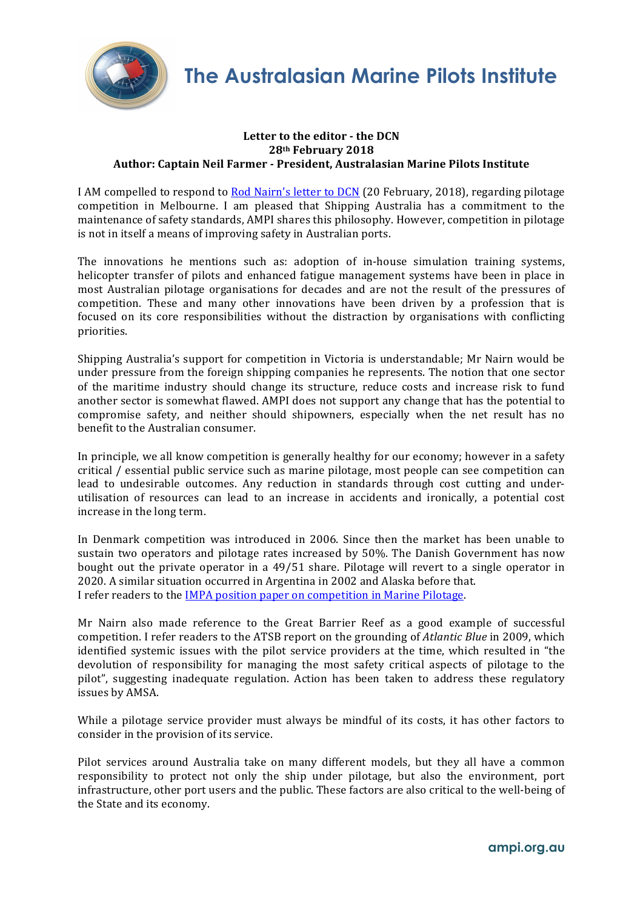

## Letter to the editor - the DCN **28th February 2018 Author: Captain Neil Farmer - President, Australasian Marine Pilots Institute**

I AM compelled to respond to Rod Nairn's letter to DCN (20 February, 2018), regarding pilotage competition in Melbourne. I am pleased that Shipping Australia has a commitment to the maintenance of safety standards. AMPI shares this philosophy. However, competition in pilotage is not in itself a means of improving safety in Australian ports.

The innovations he mentions such as: adoption of in-house simulation training systems, helicopter transfer of pilots and enhanced fatigue management systems have been in place in most Australian pilotage organisations for decades and are not the result of the pressures of competition. These and many other innovations have been driven by a profession that is focused on its core responsibilities without the distraction by organisations with conflicting priorities.

Shipping Australia's support for competition in Victoria is understandable; Mr Nairn would be under pressure from the foreign shipping companies he represents. The notion that one sector of the maritime industry should change its structure, reduce costs and increase risk to fund another sector is somewhat flawed. AMPI does not support any change that has the potential to compromise safety, and neither should shipowners, especially when the net result has no benefit to the Australian consumer.

In principle, we all know competition is generally healthy for our economy; however in a safety critical / essential public service such as marine pilotage, most people can see competition can lead to undesirable outcomes. Any reduction in standards through cost cutting and underutilisation of resources can lead to an increase in accidents and ironically, a potential cost increase in the long term.

In Denmark competition was introduced in 2006. Since then the market has been unable to sustain two operators and pilotage rates increased by  $50\%$ . The Danish Government has now bought out the private operator in a  $49/51$  share. Pilotage will revert to a single operator in 2020. A similar situation occurred in Argentina in 2002 and Alaska before that. I refer readers to the IMPA position paper on competition in Marine Pilotage.

Mr Nairn also made reference to the Great Barrier Reef as a good example of successful competition. I refer readers to the ATSB report on the grounding of *Atlantic Blue* in 2009, which identified systemic issues with the pilot service providers at the time, which resulted in "the devolution of responsibility for managing the most safety critical aspects of pilotage to the pilot", suggesting inadequate regulation. Action has been taken to address these regulatory issues by AMSA.

While a pilotage service provider must always be mindful of its costs, it has other factors to consider in the provision of its service.

Pilot services around Australia take on many different models, but they all have a common responsibility to protect not only the ship under pilotage, but also the environment, port infrastructure, other port users and the public. These factors are also critical to the well-being of the State and its economy.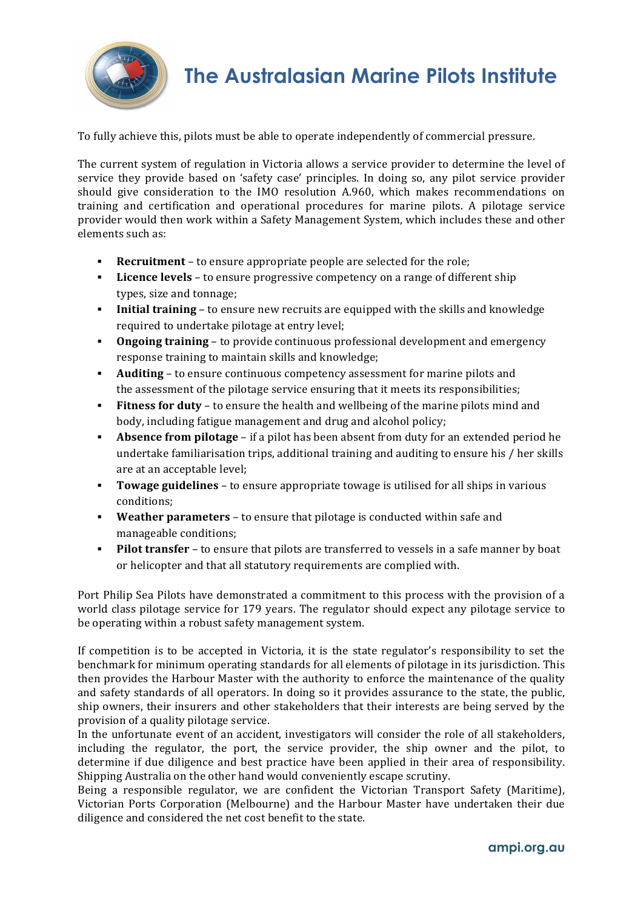

## **The Australasian Marine Pilots Institute**

To fully achieve this, pilots must be able to operate independently of commercial pressure.

The current system of regulation in Victoria allows a service provider to determine the level of service they provide based on 'safety case' principles. In doing so, any pilot service provider should give consideration to the IMO resolution A.960, which makes recommendations on training and certification and operational procedures for marine pilots. A pilotage service provider would then work within a Safety Management System, which includes these and other elements such as:

- **Recruitment** to ensure appropriate people are selected for the role;
- **Example 1** Licence levels to ensure progressive competency on a range of different ship types, size and tonnage;
- **Initial training** to ensure new recruits are equipped with the skills and knowledge required to undertake pilotage at entry level;
- **Ongoing training** to provide continuous professional development and emergency response training to maintain skills and knowledge;
- **Auditing** to ensure continuous competency assessment for marine pilots and the assessment of the pilotage service ensuring that it meets its responsibilities;
- **Fitness for duty** to ensure the health and wellbeing of the marine pilots mind and body, including fatigue management and drug and alcohol policy;
- **Absence from pilotage** if a pilot has been absent from duty for an extended period he undertake familiarisation trips, additional training and auditing to ensure his  $/$  her skills are at an acceptable level:
- **Towage guidelines** to ensure appropriate towage is utilised for all ships in various conditions;
- **Weather parameters** to ensure that pilotage is conducted within safe and manageable conditions:
- **Pilot transfer** to ensure that pilots are transferred to vessels in a safe manner by boat or helicopter and that all statutory requirements are complied with.

Port Philip Sea Pilots have demonstrated a commitment to this process with the provision of a world class pilotage service for 179 years. The regulator should expect any pilotage service to be operating within a robust safety management system.

If competition is to be accepted in Victoria, it is the state regulator's responsibility to set the benchmark for minimum operating standards for all elements of pilotage in its jurisdiction. This then provides the Harbour Master with the authority to enforce the maintenance of the quality and safety standards of all operators. In doing so it provides assurance to the state, the public, ship owners, their insurers and other stakeholders that their interests are being served by the provision of a quality pilotage service.

In the unfortunate event of an accident, investigators will consider the role of all stakeholders, including the regulator, the port, the service provider, the ship owner and the pilot, to determine if due diligence and best practice have been applied in their area of responsibility. Shipping Australia on the other hand would conveniently escape scrutiny.

Being a responsible regulator, we are confident the Victorian Transport Safety (Maritime), Victorian Ports Corporation (Melbourne) and the Harbour Master have undertaken their due diligence and considered the net cost benefit to the state.